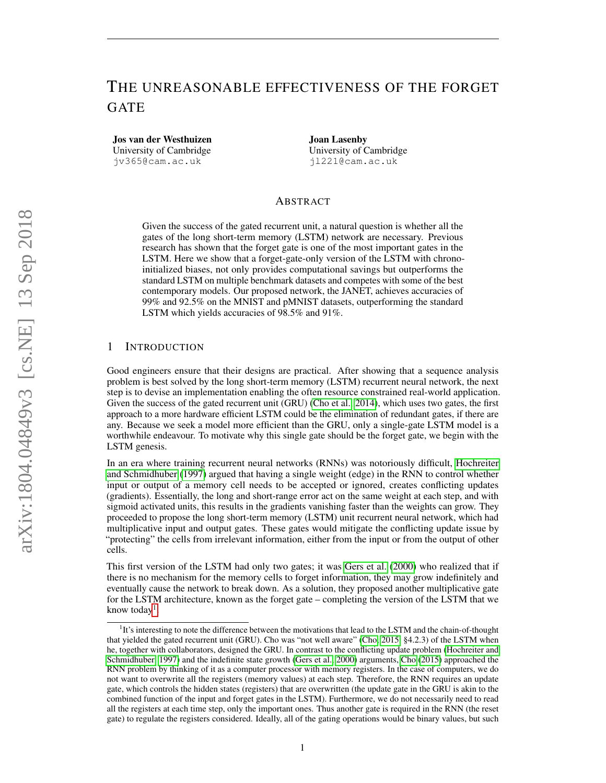# THE UNREASONABLE EFFECTIVENESS OF THE FORGET GATE

Jos van der Westhuizen University of Cambridge jv365@cam.ac.uk

Joan Lasenby University of Cambridge jl221@cam.ac.uk

# ABSTRACT

Given the success of the gated recurrent unit, a natural question is whether all the gates of the long short-term memory (LSTM) network are necessary. Previous research has shown that the forget gate is one of the most important gates in the LSTM. Here we show that a forget-gate-only version of the LSTM with chronoinitialized biases, not only provides computational savings but outperforms the standard LSTM on multiple benchmark datasets and competes with some of the best contemporary models. Our proposed network, the JANET, achieves accuracies of 99% and 92.5% on the MNIST and pMNIST datasets, outperforming the standard LSTM which yields accuracies of 98.5% and 91%.

### 1 INTRODUCTION

Good engineers ensure that their designs are practical. After showing that a sequence analysis problem is best solved by the long short-term memory (LSTM) recurrent neural network, the next step is to devise an implementation enabling the often resource constrained real-world application. Given the success of the gated recurrent unit (GRU) [\(Cho et al., 2014\)](#page-12-0), which uses two gates, the first approach to a more hardware efficient LSTM could be the elimination of redundant gates, if there are any. Because we seek a model more efficient than the GRU, only a single-gate LSTM model is a worthwhile endeavour. To motivate why this single gate should be the forget gate, we begin with the LSTM genesis.

In an era where training recurrent neural networks (RNNs) was notoriously difficult, [Hochreiter](#page-13-0) [and Schmidhuber](#page-13-0) [\(1997\)](#page-13-0) argued that having a single weight (edge) in the RNN to control whether input or output of a memory cell needs to be accepted or ignored, creates conflicting updates (gradients). Essentially, the long and short-range error act on the same weight at each step, and with sigmoid activated units, this results in the gradients vanishing faster than the weights can grow. They proceeded to propose the long short-term memory (LSTM) unit recurrent neural network, which had multiplicative input and output gates. These gates would mitigate the conflicting update issue by "protecting" the cells from irrelevant information, either from the input or from the output of other cells.

This first version of the LSTM had only two gates; it was [Gers et al.](#page-12-1) [\(2000\)](#page-12-1) who realized that if there is no mechanism for the memory cells to forget information, they may grow indefinitely and eventually cause the network to break down. As a solution, they proposed another multiplicative gate for the LSTM architecture, known as the forget gate – completing the version of the LSTM that we know today<sup>[1](#page-0-0)</sup>.

<span id="page-0-0"></span><sup>&</sup>lt;sup>1</sup>It's interesting to note the difference between the motivations that lead to the LSTM and the chain-of-thought that yielded the gated recurrent unit (GRU). Cho was "not well aware" [\(Cho, 2015,](#page-12-2) §4.2.3) of the LSTM when he, together with collaborators, designed the GRU. In contrast to the conflicting update problem [\(Hochreiter and](#page-13-0) [Schmidhuber, 1997\)](#page-13-0) and the indefinite state growth [\(Gers et al., 2000\)](#page-12-1) arguments, [Cho](#page-12-2) [\(2015\)](#page-12-2) approached the RNN problem by thinking of it as a computer processor with memory registers. In the case of computers, we do not want to overwrite all the registers (memory values) at each step. Therefore, the RNN requires an update gate, which controls the hidden states (registers) that are overwritten (the update gate in the GRU is akin to the combined function of the input and forget gates in the LSTM). Furthermore, we do not necessarily need to read all the registers at each time step, only the important ones. Thus another gate is required in the RNN (the reset gate) to regulate the registers considered. Ideally, all of the gating operations would be binary values, but such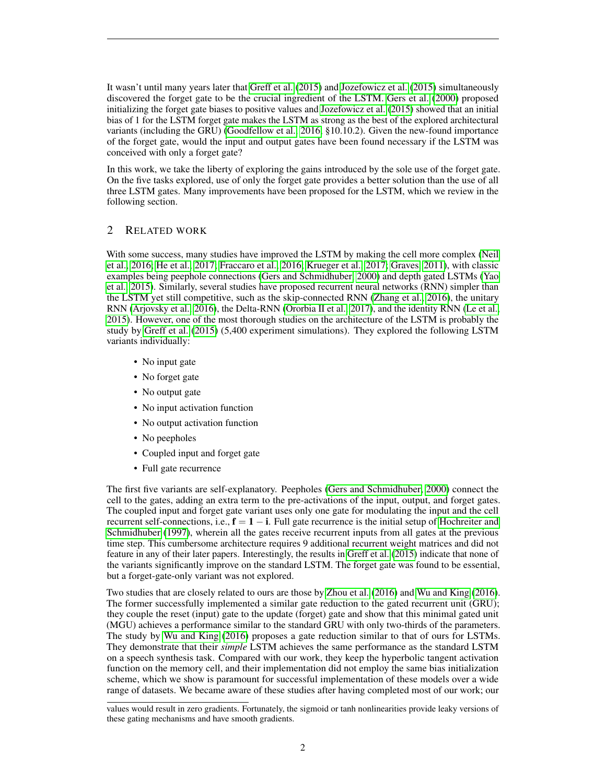It wasn't until many years later that [Greff et al.](#page-12-3) [\(2015\)](#page-12-3) and [Jozefowicz et al.](#page-13-1) [\(2015\)](#page-13-1) simultaneously discovered the forget gate to be the crucial ingredient of the LSTM. [Gers et al.](#page-12-1) [\(2000\)](#page-12-1) proposed initializing the forget gate biases to positive values and [Jozefowicz et al.](#page-13-1) [\(2015\)](#page-13-1) showed that an initial bias of 1 for the LSTM forget gate makes the LSTM as strong as the best of the explored architectural variants (including the GRU) [\(Goodfellow et al., 2016,](#page-12-4) §10.10.2). Given the new-found importance of the forget gate, would the input and output gates have been found necessary if the LSTM was conceived with only a forget gate?

In this work, we take the liberty of exploring the gains introduced by the sole use of the forget gate. On the five tasks explored, use of only the forget gate provides a better solution than the use of all three LSTM gates. Many improvements have been proposed for the LSTM, which we review in the following section.

# 2 RELATED WORK

With some success, many studies have improved the LSTM by making the cell more complex [\(Neil](#page-13-2) [et al., 2016;](#page-13-2) [He et al., 2017;](#page-13-3) [Fraccaro et al., 2016;](#page-12-5) [Krueger et al., 2017;](#page-13-4) [Graves, 2011\)](#page-12-6), with classic examples being peephole connections [\(Gers and Schmidhuber, 2000\)](#page-12-7) and depth gated LSTMs [\(Yao](#page-14-0) [et al., 2015\)](#page-14-0). Similarly, several studies have proposed recurrent neural networks (RNN) simpler than the LSTM yet still competitive, such as the skip-connected RNN [\(Zhang et al., 2016\)](#page-14-1), the unitary RNN [\(Arjovsky et al., 2016\)](#page-12-8), the Delta-RNN [\(Ororbia II et al., 2017\)](#page-13-5), and the identity RNN [\(Le et al.,](#page-13-6) [2015\)](#page-13-6). However, one of the most thorough studies on the architecture of the LSTM is probably the study by [Greff et al.](#page-12-3) [\(2015\)](#page-12-3) (5,400 experiment simulations). They explored the following LSTM variants individually:

- No input gate
- No forget gate
- No output gate
- No input activation function
- No output activation function
- No peepholes
- Coupled input and forget gate
- Full gate recurrence

The first five variants are self-explanatory. Peepholes [\(Gers and Schmidhuber, 2000\)](#page-12-7) connect the cell to the gates, adding an extra term to the pre-activations of the input, output, and forget gates. The coupled input and forget gate variant uses only one gate for modulating the input and the cell recurrent self-connections, i.e.,  $f = 1 - i$ . Full gate recurrence is the initial setup of [Hochreiter and](#page-13-0) [Schmidhuber](#page-13-0) [\(1997\)](#page-13-0), wherein all the gates receive recurrent inputs from all gates at the previous time step. This cumbersome architecture requires 9 additional recurrent weight matrices and did not feature in any of their later papers. Interestingly, the results in [Greff et al.](#page-12-3) [\(2015\)](#page-12-3) indicate that none of the variants significantly improve on the standard LSTM. The forget gate was found to be essential, but a forget-gate-only variant was not explored.

Two studies that are closely related to ours are those by [Zhou et al.](#page-14-2) [\(2016\)](#page-14-2) and [Wu and King](#page-14-3) [\(2016\)](#page-14-3). The former successfully implemented a similar gate reduction to the gated recurrent unit (GRU); they couple the reset (input) gate to the update (forget) gate and show that this minimal gated unit (MGU) achieves a performance similar to the standard GRU with only two-thirds of the parameters. The study by [Wu and King](#page-14-3) [\(2016\)](#page-14-3) proposes a gate reduction similar to that of ours for LSTMs. They demonstrate that their *simple* LSTM achieves the same performance as the standard LSTM on a speech synthesis task. Compared with our work, they keep the hyperbolic tangent activation function on the memory cell, and their implementation did not employ the same bias initialization scheme, which we show is paramount for successful implementation of these models over a wide range of datasets. We became aware of these studies after having completed most of our work; our

values would result in zero gradients. Fortunately, the sigmoid or tanh nonlinearities provide leaky versions of these gating mechanisms and have smooth gradients.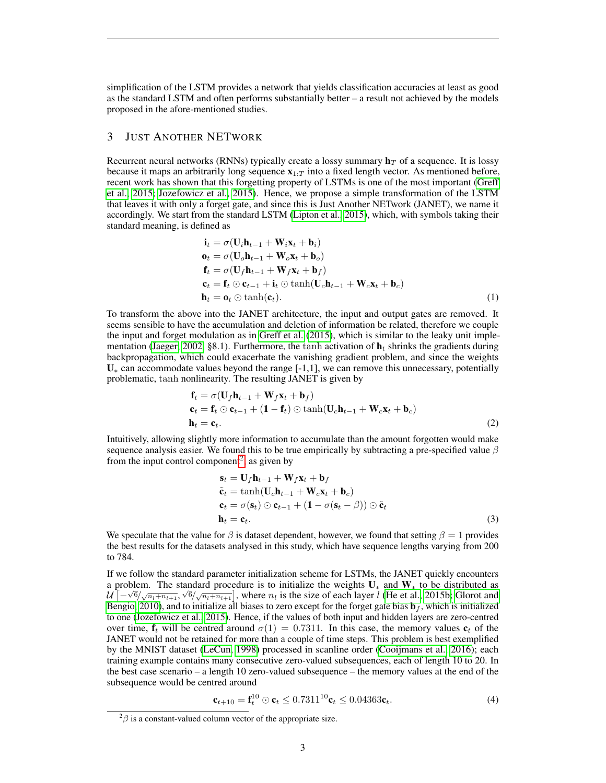simplification of the LSTM provides a network that yields classification accuracies at least as good as the standard LSTM and often performs substantially better – a result not achieved by the models proposed in the afore-mentioned studies.

# <span id="page-2-2"></span>3 JUST ANOTHER NETWORK

Recurrent neural networks (RNNs) typically create a lossy summary  $\mathbf{h}_T$  of a sequence. It is lossy because it maps an arbitrarily long sequence  $\mathbf{x}_{1:T}$  into a fixed length vector. As mentioned before, recent work has shown that this forgetting property of LSTMs is one of the most important [\(Greff](#page-12-3) [et al., 2015;](#page-12-3) [Jozefowicz et al., 2015\)](#page-13-1). Hence, we propose a simple transformation of the LSTM that leaves it with only a forget gate, and since this is Just Another NETwork (JANET), we name it accordingly. We start from the standard LSTM [\(Lipton et al., 2015\)](#page-13-7), which, with symbols taking their standard meaning, is defined as

$$
\mathbf{i}_t = \sigma(\mathbf{U}_i \mathbf{h}_{t-1} + \mathbf{W}_i \mathbf{x}_t + \mathbf{b}_i)
$$
\n
$$
\mathbf{o}_t = \sigma(\mathbf{U}_o \mathbf{h}_{t-1} + \mathbf{W}_o \mathbf{x}_t + \mathbf{b}_o)
$$
\n
$$
\mathbf{f}_t = \sigma(\mathbf{U}_f \mathbf{h}_{t-1} + \mathbf{W}_f \mathbf{x}_t + \mathbf{b}_f)
$$
\n
$$
\mathbf{c}_t = \mathbf{f}_t \odot \mathbf{c}_{t-1} + \mathbf{i}_t \odot \tanh(\mathbf{U}_c \mathbf{h}_{t-1} + \mathbf{W}_c \mathbf{x}_t + \mathbf{b}_c)
$$
\n
$$
\mathbf{h}_t = \mathbf{o}_t \odot \tanh(\mathbf{c}_t).
$$
\n(1)

To transform the above into the JANET architecture, the input and output gates are removed. It seems sensible to have the accumulation and deletion of information be related, therefore we couple the input and forget modulation as in [Greff et al.](#page-12-3) [\(2015\)](#page-12-3), which is similar to the leaky unit imple-mentation [\(Jaeger, 2002,](#page-13-8) §8.1). Furthermore, the tanh activation of  $\mathbf{h}_t$  shrinks the gradients during backpropagation, which could exacerbate the vanishing gradient problem, and since the weights  $U_*$  can accommodate values beyond the range  $[-1,1]$ , we can remove this unnecessary, potentially problematic, tanh nonlinearity. The resulting JANET is given by

$$
\mathbf{f}_t = \sigma(\mathbf{U}_f \mathbf{h}_{t-1} + \mathbf{W}_f \mathbf{x}_t + \mathbf{b}_f) \n\mathbf{c}_t = \mathbf{f}_t \odot \mathbf{c}_{t-1} + (\mathbf{1} - \mathbf{f}_t) \odot \tanh(\mathbf{U}_c \mathbf{h}_{t-1} + \mathbf{W}_c \mathbf{x}_t + \mathbf{b}_c) \n\mathbf{h}_t = \mathbf{c}_t.
$$
\n(2)

Intuitively, allowing slightly more information to accumulate than the amount forgotten would make sequence analysis easier. We found this to be true empirically by subtracting a pre-specified value  $\beta$ from the input control component<sup>[2](#page-2-0)</sup>, as given by

$$
\mathbf{s}_t = \mathbf{U}_f \mathbf{h}_{t-1} + \mathbf{W}_f \mathbf{x}_t + \mathbf{b}_f
$$
\n
$$
\tilde{\mathbf{c}}_t = \tanh(\mathbf{U}_c \mathbf{h}_{t-1} + \mathbf{W}_c \mathbf{x}_t + \mathbf{b}_c)
$$
\n
$$
\mathbf{c}_t = \sigma(\mathbf{s}_t) \odot \mathbf{c}_{t-1} + (\mathbf{1} - \sigma(\mathbf{s}_t - \beta)) \odot \tilde{\mathbf{c}}_t
$$
\n
$$
\mathbf{h}_t = \mathbf{c}_t.
$$
\n(3)

We speculate that the value for  $\beta$  is dataset dependent, however, we found that setting  $\beta = 1$  provides the best results for the datasets analysed in this study, which have sequence lengths varying from 200 to 784.

If we follow the standard parameter initialization scheme for LSTMs, the JANET quickly encounters a problem. The standard procedure is to initialize the weights  $U_*$  and  $W_*$  to be distributed as  $u^*[-\sqrt{6}(\sqrt{n_l+n_{l+1}},\sqrt{6}(\sqrt{n_l+n_{l+1}})]$ , where  $n_l$  is the size of each layer l [\(He et al., 2015b;](#page-13-9) [Glorot and](#page-12-9) [Bengio, 2010\)](#page-12-9), and to initialize all biases to zero except for the forget gate bias  $\mathbf{b}_f$ , which is initialized to one [\(Jozefowicz et al., 2015\)](#page-13-1). Hence, if the values of both input and hidden layers are zero-centred over time,  $f_t$  will be centred around  $\sigma(1) = 0.7311$ . In this case, the memory values  $c_t$  of the JANET would not be retained for more than a couple of time steps. This problem is best exemplified by the MNIST dataset [\(LeCun, 1998\)](#page-13-10) processed in scanline order [\(Cooijmans et al., 2016\)](#page-12-10); each training example contains many consecutive zero-valued subsequences, each of length 10 to 20. In the best case scenario – a length 10 zero-valued subsequence – the memory values at the end of the subsequence would be centred around

<span id="page-2-1"></span>
$$
\mathbf{c}_{t+10} = \mathbf{f}_t^{10} \odot \mathbf{c}_t \le 0.7311^{10} \mathbf{c}_t \le 0.04363 \mathbf{c}_t. \tag{4}
$$

<span id="page-2-0"></span> $^{2}\beta$  is a constant-valued column vector of the appropriate size.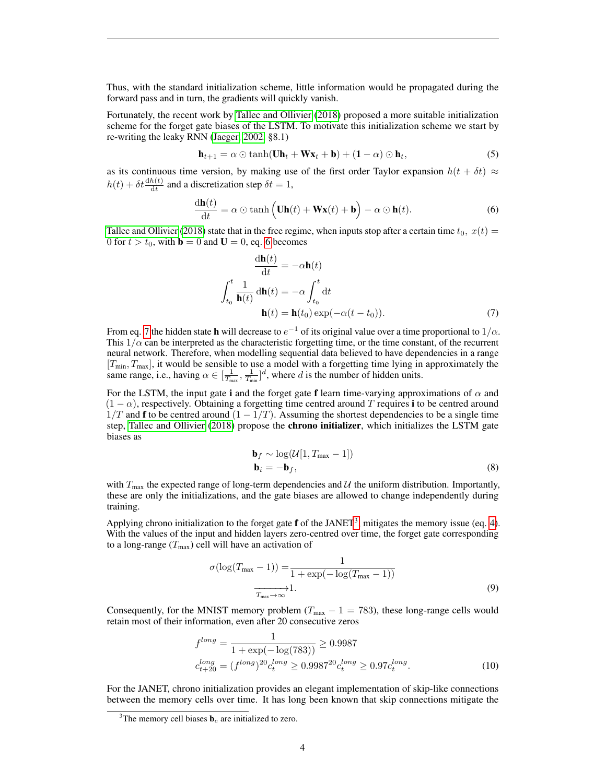Thus, with the standard initialization scheme, little information would be propagated during the forward pass and in turn, the gradients will quickly vanish.

Fortunately, the recent work by [Tallec and Ollivier](#page-13-11) [\(2018\)](#page-13-11) proposed a more suitable initialization scheme for the forget gate biases of the LSTM. To motivate this initialization scheme we start by re-writing the leaky RNN [\(Jaeger, 2002,](#page-13-8) §8.1)

<span id="page-3-0"></span>
$$
\mathbf{h}_{t+1} = \alpha \odot \tanh(\mathbf{U}\mathbf{h}_t + \mathbf{W}\mathbf{x}_t + \mathbf{b}) + (\mathbf{1} - \alpha) \odot \mathbf{h}_t,\tag{5}
$$

as its continuous time version, by making use of the first order Taylor expansion  $h(t + \delta t) \approx$  $h(t) + \delta t \frac{dh(t)}{dt}$  and a discretization step  $\delta t = 1$ ,

$$
\frac{\mathrm{d}\mathbf{h}(t)}{\mathrm{d}t} = \alpha \odot \tanh\left(\mathbf{U}\mathbf{h}(t) + \mathbf{W}\mathbf{x}(t) + \mathbf{b}\right) - \alpha \odot \mathbf{h}(t). \tag{6}
$$

[Tallec and Ollivier](#page-13-11) [\(2018\)](#page-13-11) state that in the free regime, when inputs stop after a certain time  $t_0$ ,  $x(t)$  = 0 for  $t > t_0$ , with  $\mathbf{b} = 0$  and  $\mathbf{U} = 0$ , eq. [6](#page-3-0) becomes

$$
\frac{d\mathbf{h}(t)}{dt} = -\alpha \mathbf{h}(t)
$$

$$
\int_{t_0}^t \frac{1}{\mathbf{h}(t)} d\mathbf{h}(t) = -\alpha \int_{t_0}^t dt
$$

$$
\mathbf{h}(t) = \mathbf{h}(t_0) \exp(-\alpha(t - t_0)).
$$
(7)

From eq. [7](#page-3-0) the hidden state **h** will decrease to  $e^{-1}$  of its original value over a time proportional to  $1/\alpha$ . This  $1/\alpha$  can be interpreted as the characteristic forgetting time, or the time constant, of the recurrent neural network. Therefore, when modelling sequential data believed to have dependencies in a range  $[T_{\text{min}}, T_{\text{max}}]$ , it would be sensible to use a model with a forgetting time lying in approximately the same range, i.e., having  $\alpha \in [\frac{1}{T_{\text{max}}}, \frac{1}{T_{\text{min}}}]^d$ , where d is the number of hidden units.

For the LSTM, the input gate i and the forget gate f learn time-varying approximations of  $\alpha$  and  $(1 - \alpha)$ , respectively. Obtaining a forgetting time centred around T requires i to be centred around  $1/T$  and f to be centred around  $(1 - 1/T)$ . Assuming the shortest dependencies to be a single time step, [Tallec and Ollivier](#page-13-11) [\(2018\)](#page-13-11) propose the chrono initializer, which initializes the LSTM gate biases as

$$
\mathbf{b}_f \sim \log(\mathcal{U}[1, T_{\text{max}} - 1])
$$
  
\n
$$
\mathbf{b}_i = -\mathbf{b}_f,
$$
\n(8)

with  $T_{\text{max}}$  the expected range of long-term dependencies and U the uniform distribution. Importantly, these are only the initializations, and the gate biases are allowed to change independently during training.

Applying chrono initialization to the forget gate  $f$  of the JANET<sup>[3](#page-3-1)</sup>, mitigates the memory issue (eq. [4\)](#page-2-1). With the values of the input and hidden layers zero-centred over time, the forget gate corresponding to a long-range  $(T_{\text{max}})$  cell will have an activation of

$$
\sigma(\log(T_{\max} - 1)) = \frac{1}{1 + \exp(-\log(T_{\max} - 1))}
$$
\n
$$
\overrightarrow{T_{\max} \to \infty} 1.
$$
\n(9)

Consequently, for the MNIST memory problem ( $T_{\text{max}} - 1 = 783$ ), these long-range cells would retain most of their information, even after 20 consecutive zeros

$$
f^{long} = \frac{1}{1 + \exp(-\log(783))} \ge 0.9987
$$
  
\n
$$
c_{t+20}^{long} = (f^{long})^{20} c_t^{long} \ge 0.9987^{20} c_t^{long} \ge 0.97 c_t^{long}.
$$
\n(10)

For the JANET, chrono initialization provides an elegant implementation of skip-like connections between the memory cells over time. It has long been known that skip connections mitigate the

<span id="page-3-1"></span><sup>&</sup>lt;sup>3</sup>The memory cell biases  $\mathbf{b}_c$  are initialized to zero.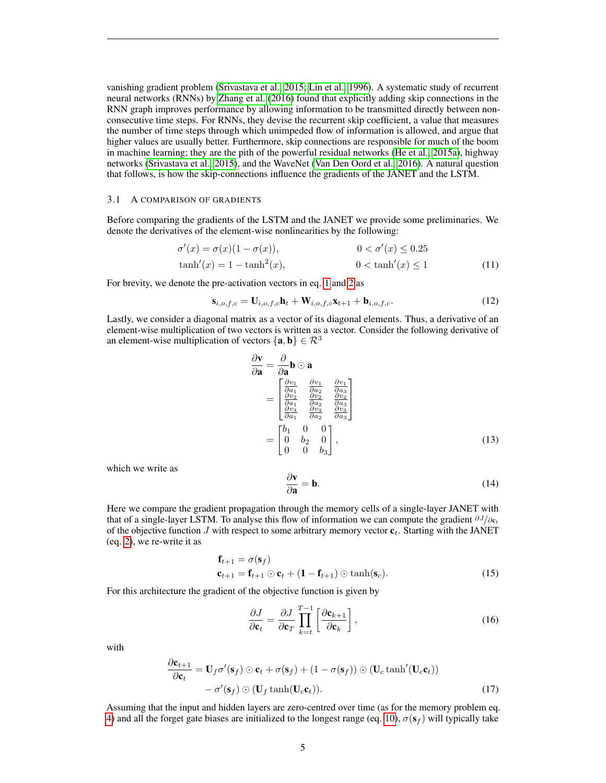vanishing gradient problem [\(Srivastava et al., 2015;](#page-13-12) [Lin et al., 1996\)](#page-13-13). A systematic study of recurrent neural networks (RNNs) by [Zhang et al.](#page-14-1) [\(2016\)](#page-14-1) found that explicitly adding skip connections in the RNN graph improves performance by allowing information to be transmitted directly between nonconsecutive time steps. For RNNs, they devise the recurrent skip coefficient, a value that measures the number of time steps through which unimpeded flow of information is allowed, and argue that higher values are usually better. Furthermore, skip connections are responsible for much of the boom in machine learning; they are the pith of the powerful residual networks [\(He et al., 2015a\)](#page-13-14), highway networks [\(Srivastava et al., 2015\)](#page-13-12), and the WaveNet [\(Van Den Oord et al., 2016\)](#page-13-15). A natural question that follows, is how the skip-connections influence the gradients of the JANET and the LSTM.

### 3.1 A COMPARISON OF GRADIENTS

Before comparing the gradients of the LSTM and the JANET we provide some preliminaries. We denote the derivatives of the element-wise nonlinearities by the following:

$$
\sigma'(x) = \sigma(x)(1 - \sigma(x)),
$$
  
\n
$$
0 < \sigma'(x) \le 0.25
$$
  
\n
$$
\tanh'(x) = 1 - \tanh^2(x),
$$
  
\n
$$
0 < \tanh'(x) \le 1
$$
\n
$$
(11)
$$

For brevity, we denote the pre-activation vectors in eq. [1](#page-2-2) and [2](#page-2-2) as

$$
\mathbf{s}_{i,o,f,c} = \mathbf{U}_{i,o,f,c} \mathbf{h}_t + \mathbf{W}_{i,o,f,c} \mathbf{x}_{t+1} + \mathbf{b}_{i,o,f,c}.
$$
 (12)

Lastly, we consider a diagonal matrix as a vector of its diagonal elements. Thus, a derivative of an element-wise multiplication of two vectors is written as a vector. Consider the following derivative of an element-wise multiplication of vectors  $\{a, b\} \in \mathbb{R}^3$ 

$$
\frac{\partial \mathbf{v}}{\partial \mathbf{a}} = \frac{\partial}{\partial \mathbf{a}} \mathbf{b} \odot \mathbf{a}
$$
\n
$$
= \begin{bmatrix}\n\frac{\partial v_1}{\partial a_1} & \frac{\partial v_1}{\partial a_2} & \frac{\partial v_1}{\partial a_3} \\
\frac{\partial v_2}{\partial a_1} & \frac{\partial v_2}{\partial a_2} & \frac{\partial v_2}{\partial a_3} \\
\frac{\partial v_3}{\partial a_1} & \frac{\partial v_3}{\partial a_2} & \frac{\partial v_3}{\partial a_3}\n\end{bmatrix}
$$
\n
$$
= \begin{bmatrix}\n b_1 & 0 & 0 \\
 0 & b_2 & 0 \\
 0 & 0 & b_3\n\end{bmatrix},
$$
\n(13)

which we write as

$$
\frac{\partial \mathbf{v}}{\partial \mathbf{a}} = \mathbf{b}.\tag{14}
$$

Here we compare the gradient propagation through the memory cells of a single-layer JANET with that of a single-layer LSTM. To analyse this flow of information we can compute the gradient  $\partial J/\partial \mathbf{c}_t$ of the objective function  $J$  with respect to some arbitrary memory vector  $c_t$ . Starting with the JANET (eq. [2\)](#page-2-2), we re-write it as

$$
\mathbf{f}_{t+1} = \sigma(\mathbf{s}_f)
$$
  
\n
$$
\mathbf{c}_{t+1} = \mathbf{f}_{t+1} \odot \mathbf{c}_t + (\mathbf{1} - \mathbf{f}_{t+1}) \odot \tanh(\mathbf{s}_c).
$$
 (15)

For this architecture the gradient of the objective function is given by

<span id="page-4-0"></span>
$$
\frac{\partial J}{\partial \mathbf{c}_t} = \frac{\partial J}{\partial \mathbf{c}_T} \prod_{k=t}^{T-1} \left[ \frac{\partial \mathbf{c}_{k+1}}{\partial \mathbf{c}_k} \right],\tag{16}
$$

with

$$
\frac{\partial \mathbf{c}_{t+1}}{\partial \mathbf{c}_t} = \mathbf{U}_f \sigma'(\mathbf{s}_f) \odot \mathbf{c}_t + \sigma(\mathbf{s}_f) + (1 - \sigma(\mathbf{s}_f)) \odot (\mathbf{U}_c \tanh'(\mathbf{U}_c \mathbf{c}_t)) \n- \sigma'(\mathbf{s}_f) \odot (\mathbf{U}_f \tanh(\mathbf{U}_c \mathbf{c}_t)).
$$
\n(17)

Assuming that the input and hidden layers are zero-centred over time (as for the memory problem eq. [4\)](#page-2-1) and all the forget gate biases are initialized to the longest range (eq. [10\)](#page-3-0),  $\sigma(\mathbf{s_f})$  will typically take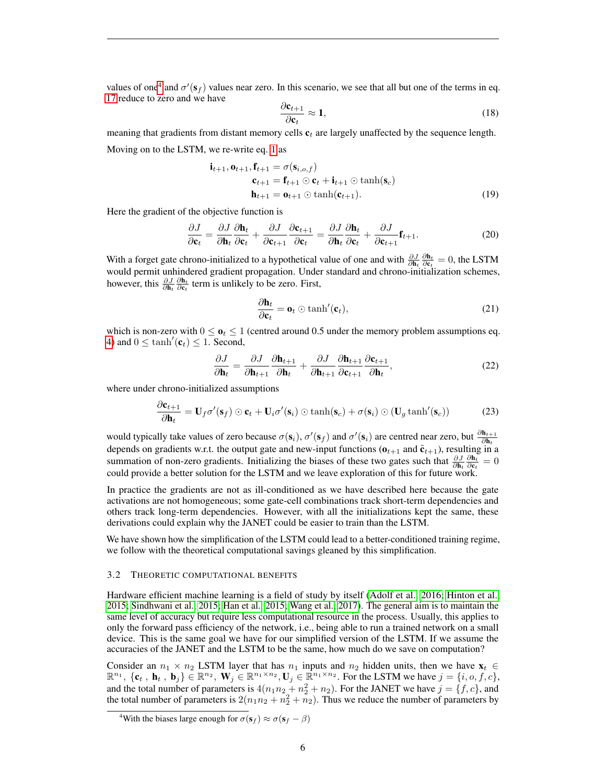values of one<sup>[4](#page-5-0)</sup> and  $\sigma'(s_f)$  values near zero. In this scenario, we see that all but one of the terms in eq. [17](#page-4-0) reduce to zero and we have

$$
\frac{\partial \mathbf{c}_{t+1}}{\partial \mathbf{c}_t} \approx \mathbf{1},\tag{18}
$$

meaning that gradients from distant memory cells  $c_t$  are largely unaffected by the sequence length. Moving on to the LSTM, we re-write eq. [1](#page-2-2) as

$$
\mathbf{i}_{t+1}, \mathbf{o}_{t+1}, \mathbf{f}_{t+1} = \sigma(\mathbf{s}_{i,o,f})
$$
\n
$$
\mathbf{c}_{t+1} = \mathbf{f}_{t+1} \odot \mathbf{c}_t + \mathbf{i}_{t+1} \odot \tanh(\mathbf{s}_c)
$$
\n
$$
\mathbf{h}_{t+1} = \mathbf{o}_{t+1} \odot \tanh(\mathbf{c}_{t+1}).
$$
\n(19)

Here the gradient of the objective function is

$$
\frac{\partial J}{\partial \mathbf{c}_t} = \frac{\partial J}{\partial \mathbf{h}_t} \frac{\partial \mathbf{h}_t}{\partial \mathbf{c}_t} + \frac{\partial J}{\partial \mathbf{c}_{t+1}} \frac{\partial \mathbf{c}_{t+1}}{\partial \mathbf{c}_t} = \frac{\partial J}{\partial \mathbf{h}_t} \frac{\partial \mathbf{h}_t}{\partial \mathbf{c}_t} + \frac{\partial J}{\partial \mathbf{c}_{t+1}} \mathbf{f}_{t+1}.
$$
(20)

With a forget gate chrono-initialized to a hypothetical value of one and with  $\frac{\partial J}{\partial \mathbf{h}_t} \frac{\partial \mathbf{h}_t}{\partial \mathbf{c}_t} = 0$ , the LSTM would permit unhindered gradient propagation. Under standard and chrono-initialization schemes, however, this  $\frac{\partial J}{\partial \mathbf{h}_t} \frac{\partial \mathbf{h}_t}{\partial \mathbf{c}_t}$  term is unlikely to be zero. First,

$$
\frac{\partial \mathbf{h}_t}{\partial \mathbf{c}_t} = \mathbf{o}_t \odot \tanh'(\mathbf{c}_t),\tag{21}
$$

which is non-zero with  $0 \leq \mathbf{0}_t \leq 1$  (centred around 0.5 under the memory problem assumptions eq. [4\)](#page-2-1) and  $0 \le \tanh'(\mathbf{c}_t) \le 1$ . Second,

$$
\frac{\partial J}{\partial \mathbf{h}_t} = \frac{\partial J}{\partial \mathbf{h}_{t+1}} \frac{\partial \mathbf{h}_{t+1}}{\partial \mathbf{h}_t} + \frac{\partial J}{\partial \mathbf{h}_{t+1}} \frac{\partial \mathbf{h}_{t+1}}{\partial \mathbf{c}_{t+1}} \frac{\partial \mathbf{c}_{t+1}}{\partial \mathbf{h}_t},
$$
(22)

where under chrono-initialized assumptions

$$
\frac{\partial \mathbf{c}_{t+1}}{\partial \mathbf{h}_t} = \mathbf{U}_f \sigma'(\mathbf{s}_f) \odot \mathbf{c}_t + \mathbf{U}_i \sigma'(\mathbf{s}_i) \odot \tanh(\mathbf{s}_c) + \sigma(\mathbf{s}_i) \odot (\mathbf{U}_g \tanh'(\mathbf{s}_c))
$$
(23)

would typically take values of zero because  $\sigma(s_i)$ ,  $\sigma'(s_f)$  and  $\sigma'(s_i)$  are centred near zero, but  $\frac{\partial \mathbf{h}_{t+1}}{\partial \mathbf{h}_t}$ depends on gradients w.r.t. the output gate and new-input functions ( $\mathbf{o}_{t+1}$  and  $\tilde{\mathbf{c}}_{t+1}$ ), resulting in a summation of non-zero gradients. Initializing the biases of these two gates such that  $\frac{\partial J}{\partial \mathbf{h}_t} \frac{\partial \mathbf{h}_t}{\partial \mathbf{c}_t} = 0$ could provide a better solution for the LSTM and we leave exploration of this for future work.

In practice the gradients are not as ill-conditioned as we have described here because the gate activations are not homogeneous; some gate-cell combinations track short-term dependencies and others track long-term dependencies. However, with all the initializations kept the same, these derivations could explain why the JANET could be easier to train than the LSTM.

We have shown how the simplification of the LSTM could lead to a better-conditioned training regime, we follow with the theoretical computational savings gleaned by this simplification.

#### 3.2 THEORETIC COMPUTATIONAL BENEFITS

Hardware efficient machine learning is a field of study by itself [\(Adolf et al., 2016;](#page-12-11) [Hinton et al.,](#page-13-16) [2015;](#page-13-16) [Sindhwani et al., 2015;](#page-13-17) [Han et al., 2015;](#page-12-12) [Wang et al., 2017\)](#page-14-4). The general aim is to maintain the same level of accuracy but require less computational resource in the process. Usually, this applies to only the forward pass efficiency of the network, i.e., being able to run a trained network on a small device. This is the same goal we have for our simplified version of the LSTM. If we assume the accuracies of the JANET and the LSTM to be the same, how much do we save on computation?

Consider an  $n_1 \times n_2$  LSTM layer that has  $n_1$  inputs and  $n_2$  hidden units, then we have  $\mathbf{x}_t \in \mathbb{R}$  $\mathbb{R}^{n_1}$ ,  $\{\mathbf{c}_t, \mathbf{h}_t, \mathbf{b}_j\} \in \mathbb{R}^{n_2}$ ,  $\mathbf{W}_j \in \mathbb{R}^{n_1 \times n_2}$ ,  $\mathbf{U}_j \in \mathbb{R}^{n_1 \times n_2}$ . For the LSTM we have  $j = \{i, o, f, c\}$ , and the total number of parameters is  $4(n_1n_2 + n_2^2 + n_2)$ . For the JANET we have  $j = \{f, c\}$ , and the total number of parameters is  $2(n_1n_2 + n_2^2 + n_2)$ . Thus we reduce the number of parameters by

<span id="page-5-0"></span><sup>&</sup>lt;sup>4</sup>With the biases large enough for  $\sigma(\mathbf{s}_f) \approx \sigma(\mathbf{s}_f - \beta)$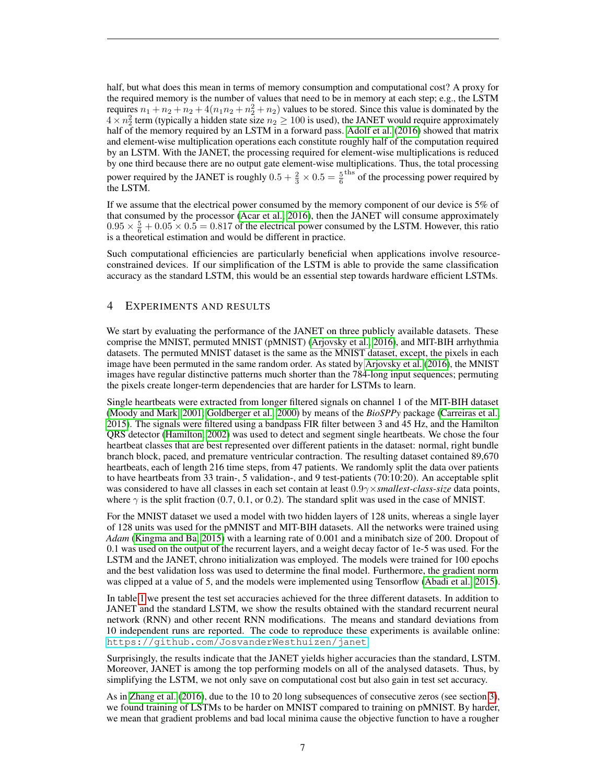half, but what does this mean in terms of memory consumption and computational cost? A proxy for the required memory is the number of values that need to be in memory at each step; e.g., the LSTM requires  $n_1 + n_2 + n_2 + 4(n_1n_2 + n_2^2 + n_2)$  values to be stored. Since this value is dominated by the  $4 \times n_2^2$  term (typically a hidden state size  $n_2 \ge 100$  is used), the JANET would require approximately half of the memory required by an LSTM in a forward pass. [Adolf et al.](#page-12-11) [\(2016\)](#page-12-11) showed that matrix and element-wise multiplication operations each constitute roughly half of the computation required by an LSTM. With the JANET, the processing required for element-wise multiplications is reduced by one third because there are no output gate element-wise multiplications. Thus, the total processing power required by the JANET is roughly  $0.5 + \frac{2}{3} \times 0.5 = \frac{5}{6}$  the processing power required by the LSTM.

If we assume that the electrical power consumed by the memory component of our device is 5% of that consumed by the processor [\(Acar et al., 2016\)](#page-12-13), then the JANET will consume approximately  $0.95 \times \frac{5}{6} + 0.05 \times 0.5 = 0.817$  of the electrical power consumed by the LSTM. However, this ratio is a theoretical estimation and would be different in practice.

Such computational efficiencies are particularly beneficial when applications involve resourceconstrained devices. If our simplification of the LSTM is able to provide the same classification accuracy as the standard LSTM, this would be an essential step towards hardware efficient LSTMs.

# 4 EXPERIMENTS AND RESULTS

We start by evaluating the performance of the JANET on three publicly available datasets. These comprise the MNIST, permuted MNIST (pMNIST) [\(Arjovsky et al., 2016\)](#page-12-8), and MIT-BIH arrhythmia datasets. The permuted MNIST dataset is the same as the MNIST dataset, except, the pixels in each image have been permuted in the same random order. As stated by [Arjovsky et al.](#page-12-8) [\(2016\)](#page-12-8), the MNIST images have regular distinctive patterns much shorter than the 784-long input sequences; permuting the pixels create longer-term dependencies that are harder for LSTMs to learn.

Single heartbeats were extracted from longer filtered signals on channel 1 of the MIT-BIH dataset [\(Moody and Mark, 2001;](#page-13-18) [Goldberger et al., 2000\)](#page-12-14) by means of the *BioSPPy* package [\(Carreiras et al.,](#page-12-15) [2015\)](#page-12-15). The signals were filtered using a bandpass FIR filter between 3 and 45 Hz, and the Hamilton QRS detector [\(Hamilton, 2002\)](#page-12-16) was used to detect and segment single heartbeats. We chose the four heartbeat classes that are best represented over different patients in the dataset: normal, right bundle branch block, paced, and premature ventricular contraction. The resulting dataset contained 89,670 heartbeats, each of length 216 time steps, from 47 patients. We randomly split the data over patients to have heartbeats from 33 train-, 5 validation-, and 9 test-patients (70:10:20). An acceptable split was considered to have all classes in each set contain at least 0.9γ×*smallest-class-size* data points, where  $\gamma$  is the split fraction (0.7, 0.1, or 0.2). The standard split was used in the case of MNIST.

For the MNIST dataset we used a model with two hidden layers of 128 units, whereas a single layer of 128 units was used for the pMNIST and MIT-BIH datasets. All the networks were trained using *Adam* [\(Kingma and Ba, 2015\)](#page-13-19) with a learning rate of 0.001 and a minibatch size of 200. Dropout of 0.1 was used on the output of the recurrent layers, and a weight decay factor of 1e-5 was used. For the LSTM and the JANET, chrono initialization was employed. The models were trained for 100 epochs and the best validation loss was used to determine the final model. Furthermore, the gradient norm was clipped at a value of 5, and the models were implemented using Tensorflow [\(Abadi et al., 2015\)](#page-11-0).

In table [1](#page-7-0) we present the test set accuracies achieved for the three different datasets. In addition to JANET and the standard LSTM, we show the results obtained with the standard recurrent neural network (RNN) and other recent RNN modifications. The means and standard deviations from 10 independent runs are reported. The code to reproduce these experiments is available online: <https://github.com/JosvanderWesthuizen/janet>.

Surprisingly, the results indicate that the JANET yields higher accuracies than the standard, LSTM. Moreover, JANET is among the top performing models on all of the analysed datasets. Thus, by simplifying the LSTM, we not only save on computational cost but also gain in test set accuracy.

As in [Zhang et al.](#page-14-1) [\(2016\)](#page-14-1), due to the 10 to 20 long subsequences of consecutive zeros (see section [3\)](#page-2-2), we found training of LSTMs to be harder on MNIST compared to training on pMNIST. By harder, we mean that gradient problems and bad local minima cause the objective function to have a rougher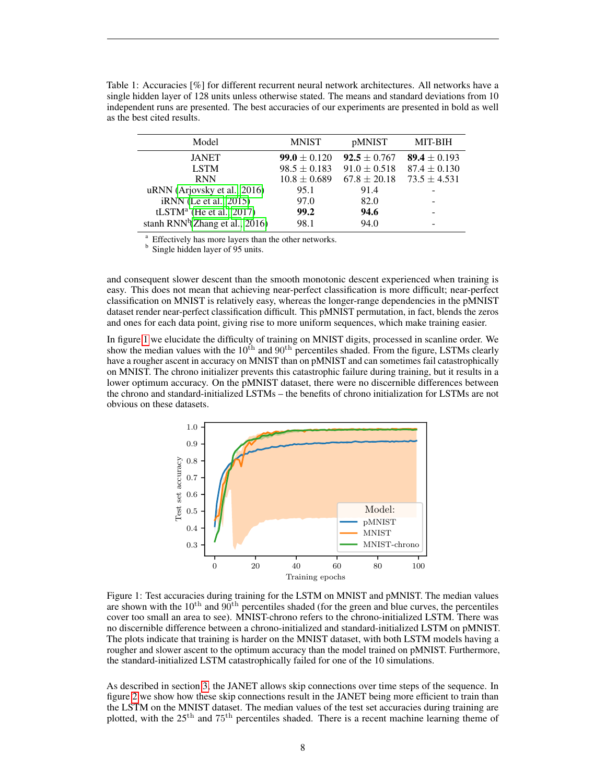<span id="page-7-0"></span>

| Model                                       | <b>MNIST</b>     | <i>pMNIST</i>    | <b>MIT-BIH</b>   |
|---------------------------------------------|------------------|------------------|------------------|
| <b>JANET</b>                                | $99.0 \pm 0.120$ | $92.5 \pm 0.767$ | 89.4 $\pm$ 0.193 |
| <b>LSTM</b>                                 | $98.5 \pm 0.183$ | $91.0 \pm 0.518$ | $87.4 \pm 0.130$ |
| <b>RNN</b>                                  | $10.8 \pm 0.689$ | $67.8 \pm 20.18$ | $73.5 \pm 4.531$ |
| uRNN (Arjovsky et al., 2016)                | 95.1             | 91.4             |                  |
| <i>iRNN</i> (Le et al., 2015)               | 97.0             | 82.0             |                  |
| tLSTM <sup>a</sup> (He et al., 2017)        | 99.2             | 94.6             |                  |
| stanh RNN <sup>b</sup> (Zhang et al., 2016) | 98.1             | 94.0             |                  |

Table 1: Accuracies [%] for different recurrent neural network architectures. All networks have a single hidden layer of 128 units unless otherwise stated. The means and standard deviations from 10 independent runs are presented. The best accuracies of our experiments are presented in bold as well as the best cited results.

Effectively has more layers than the other networks.

<sup>b</sup> Single hidden layer of 95 units.

and consequent slower descent than the smooth monotonic descent experienced when training is easy. This does not mean that achieving near-perfect classification is more difficult; near-perfect classification on MNIST is relatively easy, whereas the longer-range dependencies in the pMNIST dataset render near-perfect classification difficult. This pMNIST permutation, in fact, blends the zeros and ones for each data point, giving rise to more uniform sequences, which make training easier.

In figure [1](#page-7-1) we elucidate the difficulty of training on MNIST digits, processed in scanline order. We show the median values with the  $10^{th}$  and  $90^{th}$  percentiles shaded. From the figure, LSTMs clearly have a rougher ascent in accuracy on MNIST than on pMNIST and can sometimes fail catastrophically on MNIST. The chrono initializer prevents this catastrophic failure during training, but it results in a lower optimum accuracy. On the pMNIST dataset, there were no discernible differences between the chrono and standard-initialized LSTMs – the benefits of chrono initialization for LSTMs are not obvious on these datasets.

<span id="page-7-1"></span>

Figure 1: Test accuracies during training for the LSTM on MNIST and pMNIST. The median values are shown with the  $10^{th}$  and  $90^{th}$  percentiles shaded (for the green and blue curves, the percentiles cover too small an area to see). MNIST-chrono refers to the chrono-initialized LSTM. There was no discernible difference between a chrono-initialized and standard-initialized LSTM on pMNIST. The plots indicate that training is harder on the MNIST dataset, with both LSTM models having a rougher and slower ascent to the optimum accuracy than the model trained on pMNIST. Furthermore, the standard-initialized LSTM catastrophically failed for one of the 10 simulations.

As described in section [3,](#page-2-2) the JANET allows skip connections over time steps of the sequence. In figure [2](#page-8-0) we show how these skip connections result in the JANET being more efficient to train than the LSTM on the MNIST dataset. The median values of the test set accuracies during training are plotted, with the 25th and 75th percentiles shaded. There is a recent machine learning theme of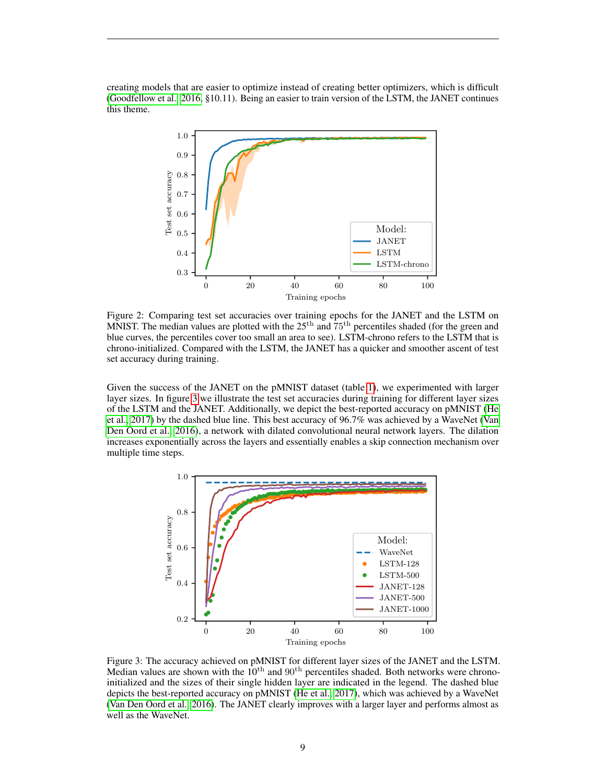<span id="page-8-0"></span>creating models that are easier to optimize instead of creating better optimizers, which is difficult [\(Goodfellow et al., 2016,](#page-12-4) §10.11). Being an easier to train version of the LSTM, the JANET continues this theme.



Figure 2: Comparing test set accuracies over training epochs for the JANET and the LSTM on MNIST. The median values are plotted with the  $25<sup>th</sup>$  and  $75<sup>th</sup>$  percentiles shaded (for the green and blue curves, the percentiles cover too small an area to see). LSTM-chrono refers to the LSTM that is chrono-initialized. Compared with the LSTM, the JANET has a quicker and smoother ascent of test set accuracy during training.

Given the success of the JANET on the pMNIST dataset (table [1\)](#page-7-0), we experimented with larger layer sizes. In figure [3](#page-8-1) we illustrate the test set accuracies during training for different layer sizes of the LSTM and the JANET. Additionally, we depict the best-reported accuracy on pMNIST [\(He](#page-13-3) [et al., 2017\)](#page-13-3) by the dashed blue line. This best accuracy of 96.7% was achieved by a WaveNet [\(Van](#page-13-15) [Den Oord et al., 2016\)](#page-13-15), a network with dilated convolutional neural network layers. The dilation increases exponentially across the layers and essentially enables a skip connection mechanism over multiple time steps.

<span id="page-8-1"></span>

Figure 3: The accuracy achieved on pMNIST for different layer sizes of the JANET and the LSTM. Median values are shown with the  $10^{th}$  and  $90^{th}$  percentiles shaded. Both networks were chronoinitialized and the sizes of their single hidden layer are indicated in the legend. The dashed blue depicts the best-reported accuracy on pMNIST [\(He et al., 2017\)](#page-13-3), which was achieved by a WaveNet [\(Van Den Oord et al., 2016\)](#page-13-15). The JANET clearly improves with a larger layer and performs almost as well as the WaveNet.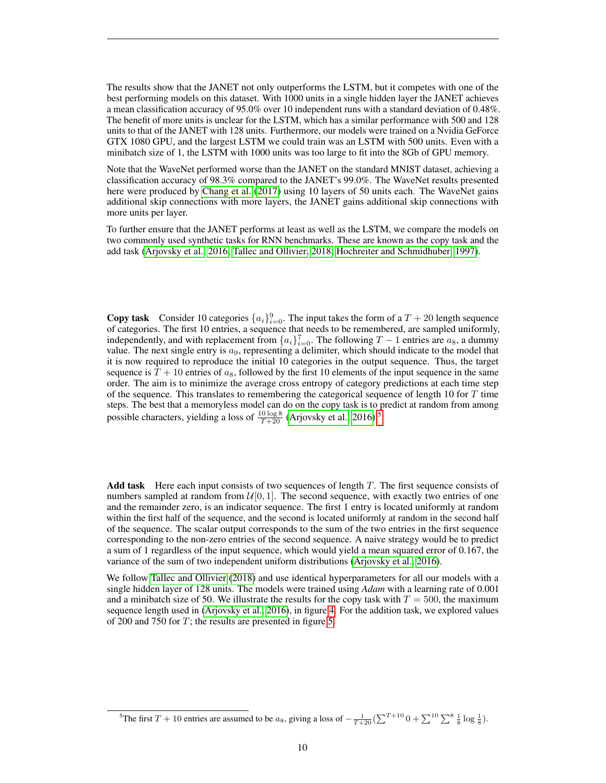The results show that the JANET not only outperforms the LSTM, but it competes with one of the best performing models on this dataset. With 1000 units in a single hidden layer the JANET achieves a mean classification accuracy of 95.0% over 10 independent runs with a standard deviation of 0.48%. The benefit of more units is unclear for the LSTM, which has a similar performance with 500 and 128 units to that of the JANET with 128 units. Furthermore, our models were trained on a Nvidia GeForce GTX 1080 GPU, and the largest LSTM we could train was an LSTM with 500 units. Even with a minibatch size of 1, the LSTM with 1000 units was too large to fit into the 8Gb of GPU memory.

Note that the WaveNet performed worse than the JANET on the standard MNIST dataset, achieving a classification accuracy of 98.3% compared to the JANET's 99.0%. The WaveNet results presented here were produced by [Chang et al.](#page-12-17) [\(2017\)](#page-12-17) using 10 layers of 50 units each. The WaveNet gains additional skip connections with more layers, the JANET gains additional skip connections with more units per layer.

To further ensure that the JANET performs at least as well as the LSTM, we compare the models on two commonly used synthetic tasks for RNN benchmarks. These are known as the copy task and the add task [\(Arjovsky et al., 2016;](#page-12-8) [Tallec and Ollivier, 2018;](#page-13-11) [Hochreiter and Schmidhuber, 1997\)](#page-13-0).

**Copy task** Consider 10 categories  $\{a_i\}_{i=0}^9$ . The input takes the form of a  $T + 20$  length sequence of categories. The first 10 entries, a sequence that needs to be remembered, are sampled uniformly, independently, and with replacement from  $\{a_i\}_{i=0}^7$ . The following  $T-1$  entries are  $a_8$ , a dummy value. The next single entry is  $a<sub>9</sub>$ , representing a delimiter, which should indicate to the model that it is now required to reproduce the initial 10 categories in the output sequence. Thus, the target sequence is  $T + 10$  entries of  $a_8$ , followed by the first 10 elements of the input sequence in the same order. The aim is to minimize the average cross entropy of category predictions at each time step of the sequence. This translates to remembering the categorical sequence of length 10 for  $T$  time steps. The best that a memoryless model can do on the copy task is to predict at random from among possible characters, yielding a loss of  $\frac{10 \log 8}{T+20}$  [\(Arjovsky et al., 2016\)](#page-12-8)<sup>[5](#page-9-0)</sup>.

Add task Here each input consists of two sequences of length  $T$ . The first sequence consists of numbers sampled at random from  $\mathcal{U}[0, 1]$ . The second sequence, with exactly two entries of one and the remainder zero, is an indicator sequence. The first 1 entry is located uniformly at random within the first half of the sequence, and the second is located uniformly at random in the second half of the sequence. The scalar output corresponds to the sum of the two entries in the first sequence corresponding to the non-zero entries of the second sequence. A naive strategy would be to predict a sum of 1 regardless of the input sequence, which would yield a mean squared error of 0.167, the variance of the sum of two independent uniform distributions [\(Arjovsky et al., 2016\)](#page-12-8).

We follow [Tallec and Ollivier](#page-13-11) [\(2018\)](#page-13-11) and use identical hyperparameters for all our models with a single hidden layer of 128 units. The models were trained using *Adam* with a learning rate of 0.001 and a minibatch size of 50. We illustrate the results for the copy task with  $T = 500$ , the maximum sequence length used in [\(Arjovsky et al., 2016\)](#page-12-8), in figure [4.](#page-10-0) For the addition task, we explored values of 200 and 750 for T; the results are presented in figure [5.](#page-10-1)

<span id="page-9-0"></span><sup>&</sup>lt;sup>5</sup>The first T + 10 entries are assumed to be  $a_8$ , giving a loss of  $-\frac{1}{T+20}(\sum^{T+10} 0 + \sum^{10} \sum^8 \frac{1}{8} \log \frac{1}{8})$ .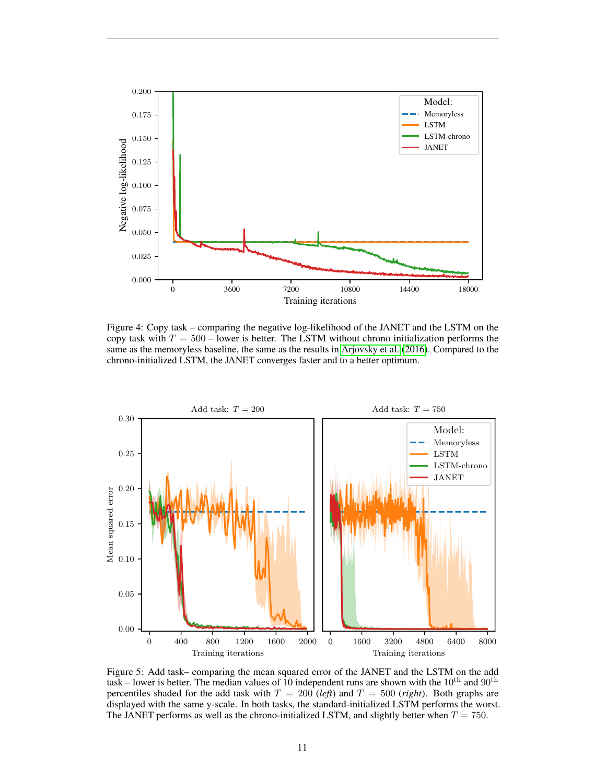<span id="page-10-0"></span>

Figure 4: Copy task – comparing the negative log-likelihood of the JANET and the LSTM on the copy task with  $T = 500$  – lower is better. The LSTM without chrono initialization performs the same as the memoryless baseline, the same as the results in [Arjovsky et al.](#page-12-8) [\(2016\)](#page-12-8). Compared to the chrono-initialized LSTM, the JANET converges faster and to a better optimum.

<span id="page-10-1"></span>

Figure 5: Add task– comparing the mean squared error of the JANET and the LSTM on the add task – lower is better. The median values of 10 independent runs are shown with the  $10^{th}$  and  $90^{th}$ percentiles shaded for the add task with  $T = 200$  (*left*) and  $T = 500$  (*right*). Both graphs are displayed with the same y-scale. In both tasks, the standard-initialized LSTM performs the worst. The JANET performs as well as the chrono-initialized LSTM, and slightly better when  $T = 750$ .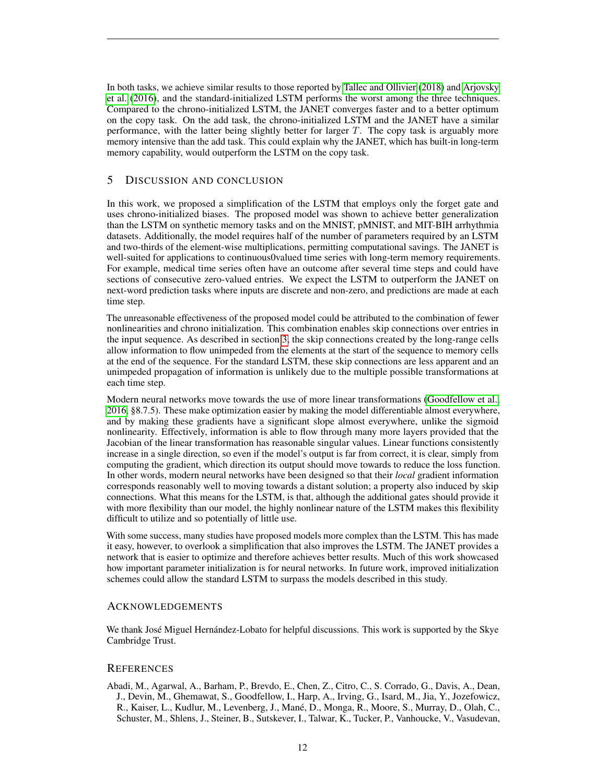In both tasks, we achieve similar results to those reported by [Tallec and Ollivier](#page-13-11) [\(2018\)](#page-13-11) and [Arjovsky](#page-12-8) [et al.](#page-12-8) [\(2016\)](#page-12-8), and the standard-initialized LSTM performs the worst among the three techniques. Compared to the chrono-initialized LSTM, the JANET converges faster and to a better optimum on the copy task. On the add task, the chrono-initialized LSTM and the JANET have a similar performance, with the latter being slightly better for larger  $T$ . The copy task is arguably more memory intensive than the add task. This could explain why the JANET, which has built-in long-term memory capability, would outperform the LSTM on the copy task.

# 5 DISCUSSION AND CONCLUSION

In this work, we proposed a simplification of the LSTM that employs only the forget gate and uses chrono-initialized biases. The proposed model was shown to achieve better generalization than the LSTM on synthetic memory tasks and on the MNIST, pMNIST, and MIT-BIH arrhythmia datasets. Additionally, the model requires half of the number of parameters required by an LSTM and two-thirds of the element-wise multiplications, permitting computational savings. The JANET is well-suited for applications to continuous0valued time series with long-term memory requirements. For example, medical time series often have an outcome after several time steps and could have sections of consecutive zero-valued entries. We expect the LSTM to outperform the JANET on next-word prediction tasks where inputs are discrete and non-zero, and predictions are made at each time step.

The unreasonable effectiveness of the proposed model could be attributed to the combination of fewer nonlinearities and chrono initialization. This combination enables skip connections over entries in the input sequence. As described in section [3,](#page-2-2) the skip connections created by the long-range cells allow information to flow unimpeded from the elements at the start of the sequence to memory cells at the end of the sequence. For the standard LSTM, these skip connections are less apparent and an unimpeded propagation of information is unlikely due to the multiple possible transformations at each time step.

Modern neural networks move towards the use of more linear transformations [\(Goodfellow et al.,](#page-12-4) [2016,](#page-12-4) §8.7.5). These make optimization easier by making the model differentiable almost everywhere, and by making these gradients have a significant slope almost everywhere, unlike the sigmoid nonlinearity. Effectively, information is able to flow through many more layers provided that the Jacobian of the linear transformation has reasonable singular values. Linear functions consistently increase in a single direction, so even if the model's output is far from correct, it is clear, simply from computing the gradient, which direction its output should move towards to reduce the loss function. In other words, modern neural networks have been designed so that their *local* gradient information corresponds reasonably well to moving towards a distant solution; a property also induced by skip connections. What this means for the LSTM, is that, although the additional gates should provide it with more flexibility than our model, the highly nonlinear nature of the LSTM makes this flexibility difficult to utilize and so potentially of little use.

With some success, many studies have proposed models more complex than the LSTM. This has made it easy, however, to overlook a simplification that also improves the LSTM. The JANET provides a network that is easier to optimize and therefore achieves better results. Much of this work showcased how important parameter initialization is for neural networks. In future work, improved initialization schemes could allow the standard LSTM to surpass the models described in this study.

### ACKNOWLEDGEMENTS

We thank José Miguel Hernández-Lobato for helpful discussions. This work is supported by the Skye Cambridge Trust.

# **REFERENCES**

<span id="page-11-0"></span>Abadi, M., Agarwal, A., Barham, P., Brevdo, E., Chen, Z., Citro, C., S. Corrado, G., Davis, A., Dean, J., Devin, M., Ghemawat, S., Goodfellow, I., Harp, A., Irving, G., Isard, M., Jia, Y., Jozefowicz, R., Kaiser, L., Kudlur, M., Levenberg, J., Mane, D., Monga, R., Moore, S., Murray, D., Olah, C., ´ Schuster, M., Shlens, J., Steiner, B., Sutskever, I., Talwar, K., Tucker, P., Vanhoucke, V., Vasudevan,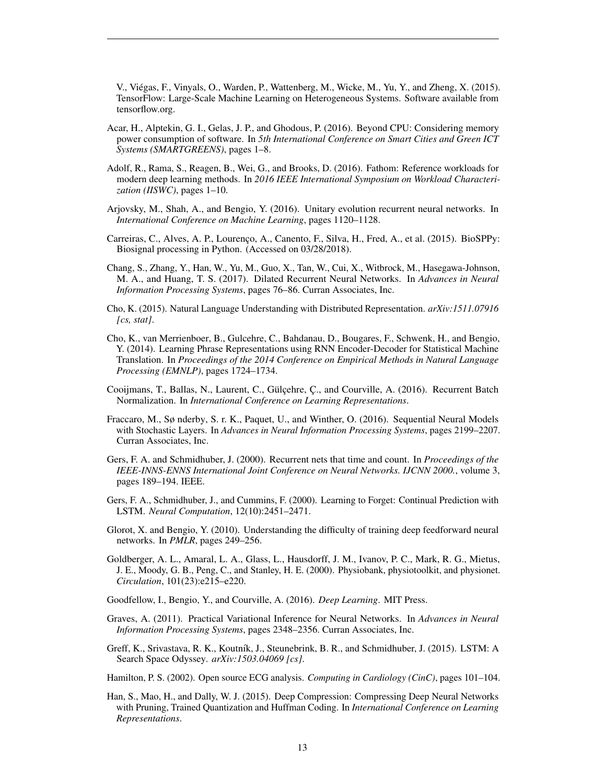V., Viegas, F., Vinyals, O., Warden, P., Wattenberg, M., Wicke, M., Yu, Y., and Zheng, X. (2015). ´ TensorFlow: Large-Scale Machine Learning on Heterogeneous Systems. Software available from tensorflow.org.

- <span id="page-12-13"></span>Acar, H., Alptekin, G. I., Gelas, J. P., and Ghodous, P. (2016). Beyond CPU: Considering memory power consumption of software. In *5th International Conference on Smart Cities and Green ICT Systems (SMARTGREENS)*, pages 1–8.
- <span id="page-12-11"></span>Adolf, R., Rama, S., Reagen, B., Wei, G., and Brooks, D. (2016). Fathom: Reference workloads for modern deep learning methods. In *2016 IEEE International Symposium on Workload Characterization (IISWC)*, pages 1–10.
- <span id="page-12-8"></span>Arjovsky, M., Shah, A., and Bengio, Y. (2016). Unitary evolution recurrent neural networks. In *International Conference on Machine Learning*, pages 1120–1128.
- <span id="page-12-15"></span>Carreiras, C., Alves, A. P., Lourenço, A., Canento, F., Silva, H., Fred, A., et al. (2015). BioSPPy: Biosignal processing in Python. (Accessed on 03/28/2018).
- <span id="page-12-17"></span>Chang, S., Zhang, Y., Han, W., Yu, M., Guo, X., Tan, W., Cui, X., Witbrock, M., Hasegawa-Johnson, M. A., and Huang, T. S. (2017). Dilated Recurrent Neural Networks. In *Advances in Neural Information Processing Systems*, pages 76–86. Curran Associates, Inc.
- <span id="page-12-2"></span>Cho, K. (2015). Natural Language Understanding with Distributed Representation. *arXiv:1511.07916 [cs, stat]*.
- <span id="page-12-0"></span>Cho, K., van Merrienboer, B., Gulcehre, C., Bahdanau, D., Bougares, F., Schwenk, H., and Bengio, Y. (2014). Learning Phrase Representations using RNN Encoder-Decoder for Statistical Machine Translation. In *Proceedings of the 2014 Conference on Empirical Methods in Natural Language Processing (EMNLP)*, pages 1724–1734.
- <span id="page-12-10"></span>Cooijmans, T., Ballas, N., Laurent, C., Gülçehre, C., and Courville, A. (2016). Recurrent Batch Normalization. In *International Conference on Learning Representations*.
- <span id="page-12-5"></span>Fraccaro, M., Sø nderby, S. r. K., Paquet, U., and Winther, O. (2016). Sequential Neural Models with Stochastic Layers. In *Advances in Neural Information Processing Systems*, pages 2199–2207. Curran Associates, Inc.
- <span id="page-12-7"></span>Gers, F. A. and Schmidhuber, J. (2000). Recurrent nets that time and count. In *Proceedings of the IEEE-INNS-ENNS International Joint Conference on Neural Networks. IJCNN 2000.*, volume 3, pages 189–194. IEEE.
- <span id="page-12-1"></span>Gers, F. A., Schmidhuber, J., and Cummins, F. (2000). Learning to Forget: Continual Prediction with LSTM. *Neural Computation*, 12(10):2451–2471.
- <span id="page-12-9"></span>Glorot, X. and Bengio, Y. (2010). Understanding the difficulty of training deep feedforward neural networks. In *PMLR*, pages 249–256.
- <span id="page-12-14"></span>Goldberger, A. L., Amaral, L. A., Glass, L., Hausdorff, J. M., Ivanov, P. C., Mark, R. G., Mietus, J. E., Moody, G. B., Peng, C., and Stanley, H. E. (2000). Physiobank, physiotoolkit, and physionet. *Circulation*, 101(23):e215–e220.
- <span id="page-12-4"></span>Goodfellow, I., Bengio, Y., and Courville, A. (2016). *Deep Learning*. MIT Press.
- <span id="page-12-6"></span>Graves, A. (2011). Practical Variational Inference for Neural Networks. In *Advances in Neural Information Processing Systems*, pages 2348–2356. Curran Associates, Inc.
- <span id="page-12-3"></span>Greff, K., Srivastava, R. K., Koutník, J., Steunebrink, B. R., and Schmidhuber, J. (2015). LSTM: A Search Space Odyssey. *arXiv:1503.04069 [cs]*.

<span id="page-12-16"></span>Hamilton, P. S. (2002). Open source ECG analysis. *Computing in Cardiology (CinC)*, pages 101–104.

<span id="page-12-12"></span>Han, S., Mao, H., and Dally, W. J. (2015). Deep Compression: Compressing Deep Neural Networks with Pruning, Trained Quantization and Huffman Coding. In *International Conference on Learning Representations*.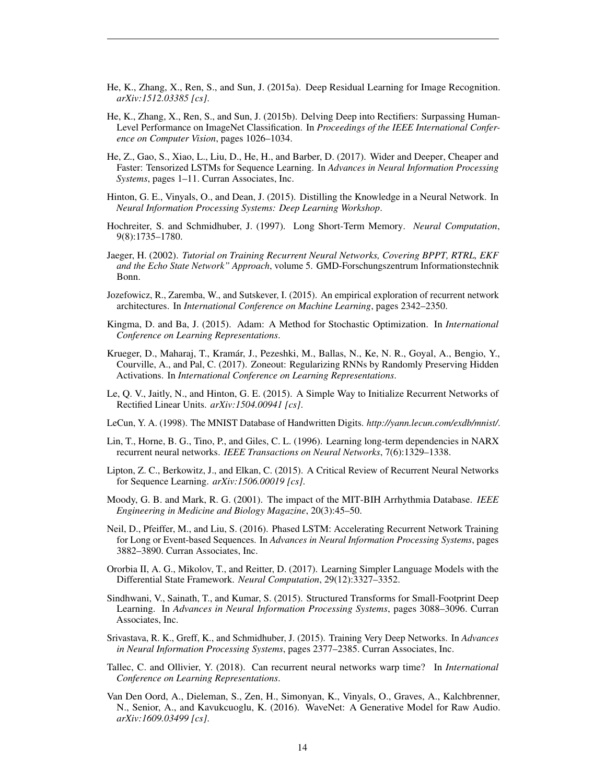- <span id="page-13-14"></span>He, K., Zhang, X., Ren, S., and Sun, J. (2015a). Deep Residual Learning for Image Recognition. *arXiv:1512.03385 [cs]*.
- <span id="page-13-9"></span>He, K., Zhang, X., Ren, S., and Sun, J. (2015b). Delving Deep into Rectifiers: Surpassing Human-Level Performance on ImageNet Classification. In *Proceedings of the IEEE International Conference on Computer Vision*, pages 1026–1034.
- <span id="page-13-3"></span>He, Z., Gao, S., Xiao, L., Liu, D., He, H., and Barber, D. (2017). Wider and Deeper, Cheaper and Faster: Tensorized LSTMs for Sequence Learning. In *Advances in Neural Information Processing Systems*, pages 1–11. Curran Associates, Inc.
- <span id="page-13-16"></span>Hinton, G. E., Vinyals, O., and Dean, J. (2015). Distilling the Knowledge in a Neural Network. In *Neural Information Processing Systems: Deep Learning Workshop*.
- <span id="page-13-0"></span>Hochreiter, S. and Schmidhuber, J. (1997). Long Short-Term Memory. *Neural Computation*, 9(8):1735–1780.
- <span id="page-13-8"></span>Jaeger, H. (2002). *Tutorial on Training Recurrent Neural Networks, Covering BPPT, RTRL, EKF and the Echo State Network" Approach*, volume 5. GMD-Forschungszentrum Informationstechnik Bonn.
- <span id="page-13-1"></span>Jozefowicz, R., Zaremba, W., and Sutskever, I. (2015). An empirical exploration of recurrent network architectures. In *International Conference on Machine Learning*, pages 2342–2350.
- <span id="page-13-19"></span>Kingma, D. and Ba, J. (2015). Adam: A Method for Stochastic Optimization. In *International Conference on Learning Representations*.
- <span id="page-13-4"></span>Krueger, D., Maharaj, T., Kramar, J., Pezeshki, M., Ballas, N., Ke, N. R., Goyal, A., Bengio, Y., ´ Courville, A., and Pal, C. (2017). Zoneout: Regularizing RNNs by Randomly Preserving Hidden Activations. In *International Conference on Learning Representations*.
- <span id="page-13-6"></span>Le, Q. V., Jaitly, N., and Hinton, G. E. (2015). A Simple Way to Initialize Recurrent Networks of Rectified Linear Units. *arXiv:1504.00941 [cs]*.
- <span id="page-13-10"></span>LeCun, Y. A. (1998). The MNIST Database of Handwritten Digits. *http://yann.lecun.com/exdb/mnist/*.
- <span id="page-13-13"></span>Lin, T., Horne, B. G., Tino, P., and Giles, C. L. (1996). Learning long-term dependencies in NARX recurrent neural networks. *IEEE Transactions on Neural Networks*, 7(6):1329–1338.
- <span id="page-13-7"></span>Lipton, Z. C., Berkowitz, J., and Elkan, C. (2015). A Critical Review of Recurrent Neural Networks for Sequence Learning. *arXiv:1506.00019 [cs]*.
- <span id="page-13-18"></span>Moody, G. B. and Mark, R. G. (2001). The impact of the MIT-BIH Arrhythmia Database. *IEEE Engineering in Medicine and Biology Magazine*, 20(3):45–50.
- <span id="page-13-2"></span>Neil, D., Pfeiffer, M., and Liu, S. (2016). Phased LSTM: Accelerating Recurrent Network Training for Long or Event-based Sequences. In *Advances in Neural Information Processing Systems*, pages 3882–3890. Curran Associates, Inc.
- <span id="page-13-5"></span>Ororbia II, A. G., Mikolov, T., and Reitter, D. (2017). Learning Simpler Language Models with the Differential State Framework. *Neural Computation*, 29(12):3327–3352.
- <span id="page-13-17"></span>Sindhwani, V., Sainath, T., and Kumar, S. (2015). Structured Transforms for Small-Footprint Deep Learning. In *Advances in Neural Information Processing Systems*, pages 3088–3096. Curran Associates, Inc.
- <span id="page-13-12"></span>Srivastava, R. K., Greff, K., and Schmidhuber, J. (2015). Training Very Deep Networks. In *Advances in Neural Information Processing Systems*, pages 2377–2385. Curran Associates, Inc.
- <span id="page-13-11"></span>Tallec, C. and Ollivier, Y. (2018). Can recurrent neural networks warp time? In *International Conference on Learning Representations*.
- <span id="page-13-15"></span>Van Den Oord, A., Dieleman, S., Zen, H., Simonyan, K., Vinyals, O., Graves, A., Kalchbrenner, N., Senior, A., and Kavukcuoglu, K. (2016). WaveNet: A Generative Model for Raw Audio. *arXiv:1609.03499 [cs]*.